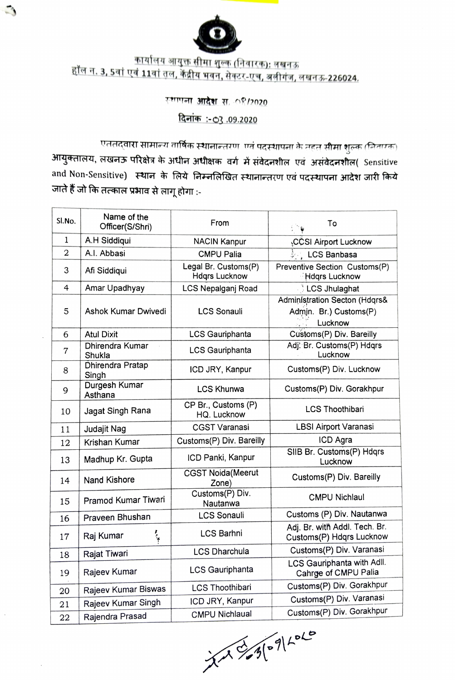

## <u>कार्यालय आयुक्त सीमा शुल्क (निवारक): लखनऊ</u><br>हॉल न. 3, 5वां एवं 11वां तल, केंद्रीय भवन, सेक्टर-एच, अलीगंज, लखनऊ-226024.

## स्थापना **आदेश** स. ೧९/2020

## <u>दिनांक : 03 .09.2020</u>

एततद्वारा सामान्य वार्षिक स्थानान्तरण-एवं पदस्थापना के तहत् सीमा शुल्क (निवारक) आयुक्तालय, लखनऊ परिक्षेत्र के अधीन अधीक्षक वर्ग में संवेदनशील एवं असंवेदनशील( Sensitive and Non-Sensitive) स्थान के लिये निम्नलिखित स्थानान्तरण एवं पदस्थापना आदेश जारी किये जाते हैं जो कि तत्काल प्रभाव से लागू होगा :-

| Sl.No.         | Name of the<br>Officer(S/Shri) | From                                         | To                                                                 |
|----------------|--------------------------------|----------------------------------------------|--------------------------------------------------------------------|
| $\mathbf 1$    | A.H Siddiqui                   | <b>NACIN Kanpur</b>                          | ¿CCSI Airport Lucknow                                              |
| $\overline{2}$ | A.I. Abbasi                    | <b>CMPU Palia</b>                            | <b>LCS Banbasa</b>                                                 |
| 3              | Afi Siddiqui                   | Legal Br. Customs(P)<br><b>Hdgrs Lucknow</b> | Preventive Section Customs(P)<br><b>Hdgrs Lucknow</b>              |
| 4              | Amar Upadhyay                  | LCS Nepalganj Road                           | LCS Jhulaghat                                                      |
| 5              | Ashok Kumar Dwivedi            | <b>LCS Sonauli</b>                           | Administration Secton (Hdqrs&<br>Admin. Br.) Customs(P)<br>Lucknow |
| 6              | <b>Atul Dixit</b>              | LCS Gauriphanta                              | Customs(P) Div. Bareilly                                           |
| $\overline{7}$ | Dhirendra Kumar<br>Shukla      | LCS Gauriphanta                              | Adj. Br. Customs(P) Hdqrs<br>Lucknow                               |
| 8              | Dhirendra Pratap<br>Singh      | ICD JRY, Kanpur                              | Customs(P) Div. Lucknow                                            |
| 9              | Durgesh Kumar<br>Asthana       | <b>LCS Khunwa</b>                            | Customs(P) Div. Gorakhpur                                          |
| 10             | Jagat Singh Rana               | CP Br., Customs (P)<br>HQ. Lucknow           | <b>LCS Thoothibari</b>                                             |
| 11             | Judajit Nag                    | <b>CGST Varanasi</b>                         | <b>LBSI Airport Varanasi</b>                                       |
| 12             | Krishan Kumar                  | Customs(P) Div. Bareilly                     | ICD Agra                                                           |
| 13             | Madhup Kr. Gupta               | ICD Panki, Kanpur                            | SIIB Br. Customs(P) Hdqrs<br>Lucknow                               |
| 14             | <b>Nand Kishore</b>            | <b>CGST Noida</b> (Meerut<br>Zone)           | Customs(P) Div. Bareilly                                           |
| 15             | Pramod Kumar Tiwari            | Customs(P) Div.<br>Nautanwa                  | <b>CMPU Nichlaul</b>                                               |
| 16             | Praveen Bhushan                | <b>LCS Sonauli</b>                           | Customs (P) Div. Nautanwa                                          |
| 17             | Raj Kumar                      | <b>LCS Barhni</b>                            | Adj. Br. with Addl. Tech. Br.<br>Customs(P) Hdqrs Lucknow          |
| 18             | Rajat Tiwari                   | <b>LCS Dharchula</b>                         | Customs(P) Div. Varanasi                                           |
| 19             | Rajeev Kumar                   | <b>LCS Gauriphanta</b>                       | LCS Gauriphanta with Adll.<br>Cahrge of CMPU Palia                 |
| 20             | Rajeev Kumar Biswas            | <b>LCS Thoothibari</b>                       | Customs(P) Div. Gorakhpur                                          |
| 21             | Rajeev Kumar Singh             | ICD JRY, Kanpur                              | Customs(P) Div. Varanasi                                           |
| 22             | Rajendra Prasad                | <b>CMPU Nichlaual</b>                        | Customs(P) Div. Gorakhpur                                          |
|                |                                |                                              |                                                                    |